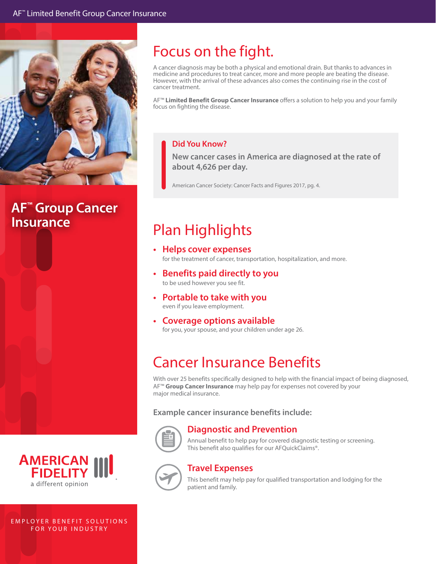

# **AF™ Group Cancer**

E M P L O Y E R B E N FOR YOUR

a diffe

 $n<sub>n</sub>$ 

**AME** 

### Focus on the fight.

A cancer diagnosis may be both a physical and emotional drain. But thanks to advances in medicine and procedures to treat cancer, more and more people are beating the disease. However, with the arrival of these advances also comes the continuing rise in the cost of cancer treatment.

AF™ **Limited Benefit Group Cancer Insurance** offers a solution to help you and your family focus on fighting the disease.

#### **Did You Know?**

**New cancer cases in America are diagnosed at the rate of about 4,626 per day.**

American Cancer Society: Cancer Facts and Figures 2017, pg. 4.

## **Insurance Plan Highlights**

- **• Helps cover expenses**  for the treatment of cancer, transportation, hospitalization, and more.
- **• Benefits paid directly to you** to be used however you see fit.
- **• Portable to take with you** even if you leave employment.
- **• Coverage options available** for you, your spouse, and your children under age 26.

### Cancer Insurance Benefits

With over 25 benefits specifically designed to help with the financial impact of being diagnosed, AF™ **Group Cancer Insurance** may help pay for expenses not covered by your major medical insurance.

**Example cancer insurance benefits include:**



#### **Diagnostic and Prevention**

Annual benefit to help pay for covered diagnostic testing or screening. This benefit also qualifies for our AFQuickClaims®.



#### **Travel Expenses**

This benefit may help pay for qualified transportation and lodging for the patient and family.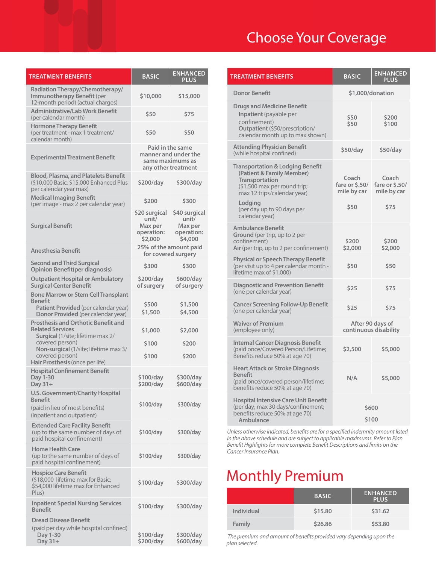| <b>TREATMENT BENEFITS</b>                                                                                                           | <b>BASIC</b>                                                                        | <b>ENHANCED</b><br><b>PLUS</b>                             |
|-------------------------------------------------------------------------------------------------------------------------------------|-------------------------------------------------------------------------------------|------------------------------------------------------------|
| Radiation Therapy/Chemotherapy/<br>Immunotherapy Benefit (per<br>12-month period) (actual charges)                                  | \$10,000                                                                            | \$15,000                                                   |
| <b>Administrative/Lab Work Benefit</b><br>(per calendar month)                                                                      | \$50                                                                                | \$75                                                       |
| <b>Hormone Therapy Benefit</b><br>(per treatment - max 1 treatment/<br>calendar month)                                              | \$50                                                                                | \$50                                                       |
| <b>Experimental Treatment Benefit</b>                                                                                               | Paid in the same<br>manner and under the<br>same maximums as<br>any other treatment |                                                            |
| <b>Blood, Plasma, and Platelets Benefit</b><br>(\$10,000 Basic, \$15,000 Enhanced Plus<br>per calendar year max)                    | \$200/day                                                                           | \$300/day                                                  |
| <b>Medical Imaging Benefit</b><br>(per image - max 2 per calendar year)                                                             | \$200                                                                               | \$300                                                      |
| <b>Surgical Benefit</b>                                                                                                             | \$20 surgical<br>unit/<br>Max per<br>operation:<br>\$2,000                          | \$40 surgical<br>unit/<br>Max per<br>operation:<br>\$4,000 |
| <b>Anesthesia Benefit</b>                                                                                                           | 25% of the amount paid<br>for covered surgery                                       |                                                            |
| <b>Second and Third Surgical</b><br><b>Opinion Benefit(per diagnosis)</b>                                                           | \$300                                                                               | \$300                                                      |
| <b>Outpatient Hospital or Ambulatory</b><br><b>Surgical Center Benefit</b>                                                          | \$200/day<br>of surgery                                                             | \$600/day<br>of surgery                                    |
| <b>Bone Marrow or Stem Cell Transplant</b><br>Benefit<br>Patient Provided (per calendar year)<br>Donor Provided (per calendar year) | \$500<br>\$1,500                                                                    | \$1,500<br>\$4,500                                         |
| <b>Prosthesis and Orthotic Benefit and</b><br><b>Related Services</b><br>Surgical (1/site; lifetime max 2/                          | \$1,000                                                                             | \$2,000                                                    |
| covered person)<br>Non-surgical (1/site; lifetime max 3/<br>covered person)<br>Hair Prosthesis (once per life)                      | \$100<br>\$100                                                                      | \$200<br>\$200                                             |
| <b>Hospital Confinement Benefit</b><br>Day 1-30<br>Day $31+$                                                                        | \$100/day<br>\$200/day                                                              | \$300/day<br>\$600/day                                     |
| <b>U.S. Government/Charity Hospital</b><br><b>Benefit</b><br>(paid in lieu of most benefits)<br>(inpatient and outpatient)          | \$100/day                                                                           | \$300/day                                                  |
| <b>Extended Care Facility Benefit</b><br>(up to the same number of days of<br>paid hospital confinement)                            | \$100/day                                                                           | \$300/day                                                  |
| <b>Home Health Care</b><br>(up to the same number of days of<br>paid hospital confinement)                                          | \$100/day                                                                           | \$300/day                                                  |
| <b>Hospice Care Benefit</b><br>(\$18,000 lifetime max for Basic;<br>\$54,000 lifetime max for Enhanced<br>Plus)                     | \$100/day                                                                           | \$300/day                                                  |
| <b>Inpatient Special Nursing Services</b><br><b>Benefit</b>                                                                         | \$100/day                                                                           | \$300/day                                                  |
| <b>Dread Disease Benefit</b><br>(paid per day while hospital confined)<br>Day 1-30                                                  | \$100/day                                                                           | \$300/day                                                  |

**\$200/day**

**\$600/day**

**Day 31+**

### Choose Your Coverage

| <b>TREATMENT BENEFITS</b>                                                                                                                                            | <b>BASIC</b>                              | <b>ENHANCED</b><br>PLUS                |
|----------------------------------------------------------------------------------------------------------------------------------------------------------------------|-------------------------------------------|----------------------------------------|
| <b>Donor Benefit</b>                                                                                                                                                 | \$1,000/donation                          |                                        |
| <b>Drugs and Medicine Benefit</b><br><b>Inpatient</b> (payable per<br>confinement)<br>Outpatient (\$50/prescription/<br>calendar month up to max shown)              | \$50<br>\$50                              | \$200<br>\$100                         |
| <b>Attending Physician Benefit</b><br>(while hospital confined)                                                                                                      | \$50/day                                  | \$50/day                               |
| <b>Transportation &amp; Lodging Benefit</b><br>(Patient & Family Member)<br>Transportation<br>(\$1,500 max per round trip;<br>max 12 trips/calendar year)<br>Lodging | Coach<br>fare or \$.50/<br>mile by car    | Coach<br>fare or \$.50/<br>mile by car |
| (per day up to 90 days per<br>calendar year)                                                                                                                         | \$50                                      | \$75                                   |
| <b>Ambulance Benefit</b><br>Ground (per trip, up to 2 per<br>confinement)<br>Air (per trip, up to 2 per confinement)                                                 | \$200<br>\$2,000                          | \$200<br>\$2,000                       |
| <b>Physical or Speech Therapy Benefit</b><br>(per visit up to 4 per calendar month -<br>lifetime max of \$1,000)                                                     | \$50                                      | \$50                                   |
| <b>Diagnostic and Prevention Benefit</b><br>(one per calendar year)                                                                                                  | \$25                                      | \$75                                   |
| <b>Cancer Screening Follow-Up Benefit</b><br>(one per calendar year)                                                                                                 | \$25                                      | \$75                                   |
| <b>Waiver of Premium</b><br>(employee only)                                                                                                                          | After 90 days of<br>continuous disability |                                        |
| <b>Internal Cancer Diagnosis Benefit</b><br>(paid once/Covered Person/Lifetime;<br>Benefits reduce 50% at age 70)                                                    | \$2,500                                   | \$5,000                                |
| <b>Heart Attack or Stroke Diagnosis</b><br><b>Benefit</b><br>(paid once/covered person/lifetime;<br>benefits reduce 50% at age 70)                                   | N/A                                       | \$5,000                                |
| <b>Hospital Intensive Care Unit Benefit</b><br>(per day; max 30 days/confinement;<br>benefits reduce 50% at age 70)<br><b>Ambulance</b>                              | \$600<br>\$100                            |                                        |

*Unless otherwise indicated, benefits are for a specified indemnity amount listed in the above schedule and are subject to applicable maximums. Refer to Plan Benefit Highlights for more complete Benefit Descriptions and limits on the Cancer Insurance Plan.* 

### Monthly Premium

|                   | <b>BASIC</b> | <b>ENHANCED</b><br><b>PLUS</b> |
|-------------------|--------------|--------------------------------|
| <b>Individual</b> | \$15.80      | \$31.62                        |
| Family            | \$26.86      | \$53.80                        |

 *The premium and amount of benefits provided vary depending upon the plan selected.*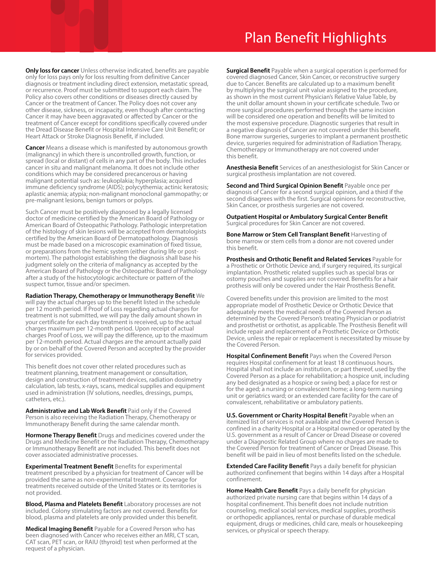### Plan Benefit Highlights

**Only loss for cancer** Unless otherwise indicated, benefits are payable only for loss pays only for loss resulting from definitive Cancer diagnosis or treatment including direct extension, metastatic spread, or recurrence. Proof must be submitted to support each claim. The Policy also covers other conditions or diseases directly caused by Cancer or the treatment of Cancer. The Policy does not cover any other disease, sickness, or incapacity, even though after contracting Cancer it may have been aggravated or affected by Cancer or the treatment of Cancer except for conditions specifically covered under the Dread Disease Benefit or Hospital Intensive Care Unit Benefit; or Heart Attack or Stroke Diagnosis Benefit, if included.

**Cancer** Means a disease which is manifested by autonomous growth (malignancy) in which there is uncontrolled growth, function, or spread (local or distant) of cells in any part of the body. This includes cancer in situ and malignant melanoma. It does not include other conditions which may be considered precancerous or having malignant potential such as: leukoplakia; hyperplasia; acquired immune deficiency syndrome (AIDS); polycythemia; actinic keratosis; aplastic anemia; atypia; non-malignant monoclonal gammopathy; or pre-malignant lesions, benign tumors or polyps.

Such Cancer must be positively diagnosed by a legally licensed doctor of medicine certified by the American Board of Pathology or American Board of Osteopathic Pathology. Pathologic interpretation of the histology of skin lesions will be accepted from dermatologists certified by the American Board of Dermatopathology. Diagnosis must be made based on a microscopic examination of fixed tissue, or preparations from the hemic system (either during life or postmortem). The pathologist establishing the diagnosis shall base his judgment solely on the criteria of malignancy as accepted by the American Board of Pathology or the Osteopathic Board of Pathology after a study of the histocytologic architecture or pattern of the suspect tumor, tissue and/or specimen.

#### **Radiation Therapy, Chemotherapy or Immunotherapy Benefit** We

will pay the actual charges up to the benefit listed in the schedule per 12 month period. If Proof of Loss regarding actual charges for treatment is not submitted, we will pay the daily amount shown in your certificate for each day treatment is received, up to the actual charges maximum per 12-month period. Upon receipt of actual charges Proof of Loss, we will pay the difference, up to the maximum per 12-month period. Actual charges are the amount actually paid by or on behalf of the Covered Person and accepted by the provider for services provided.

This benefit does not cover other related procedures such as treatment planning, treatment management or consultation, design and construction of treatment devices, radiation dosimetry calculation, lab tests, x-rays, scans, medical supplies and equipment used in administration (IV solutions, needles, dressings, pumps, catheters, etc.).

**Administrative and Lab Work Benefit** Paid only if the Covered Person is also receiving the Radiation Therapy, Chemotherapy or Immunotherapy Benefit during the same calendar month.

**Hormone Therapy Benefit** Drugs and medicines covered under the Drugs and Medicine Benefit or the Radiation Therapy, Chemotherapy or Immunotherapy Benefit are not included. This benefit does not cover associated administrative processes.

**Experimental Treatment Benefit** Benefits for experimental treatment prescribed by a physician for treatment of Cancer will be provided the same as non-experimental treatment. Coverage for treatments received outside of the United States or its territories is not provided.

**Blood, Plasma and Platelets Benefit** Laboratory processes are not included. Colony stimulating factors are not covered. Benefits for blood, plasma and platelets are only provided under this benefit.

**Medical Imaging Benefit** Payable for a Covered Person who has been diagnosed with Cancer who receives either an MRI, CT scan, CAT scan, PET scan, or RAIU (thyroid) test when performed at the request of a physician.

**Surgical Benefit** Payable when a surgical operation is performed for covered diagnosed Cancer, Skin Cancer, or reconstructive surgery due to Cancer. Benefits are calculated up to a maximum benefit by multiplying the surgical unit value assigned to the procedure, as shown in the most current Physician's Relative Value Table, by the unit dollar amount shown in your certificate schedule. Two or more surgical procedures performed through the same incision will be considered one operation and benefits will be limited to the most expensive procedure. Diagnostic surgeries that result in a negative diagnosis of Cancer are not covered under this benefit. Bone marrow surgeries, surgeries to implant a permanent prosthetic device, surgeries required for administration of Radiation Therapy, Chemotherapy or Immunotherapy are not covered under this benefit.

**Anesthesia Benefit** Services of an anesthesiologist for Skin Cancer or surgical prosthesis implantation are not covered.

**Second and Third Surgical Opinion Benefit** Payable once per diagnosis of Cancer for a second surgical opinion, and a third if the second disagrees with the first. Surgical opinions for reconstructive, Skin Cancer, or prosthesis surgeries are not covered.

**Outpatient Hospital or Ambulatory Surgical Center Benefit**  Surgical procedures for Skin Cancer are not covered.

**Bone Marrow or Stem Cell Transplant Benefit** Harvesting of bone marrow or stem cells from a donor are not covered under this benefit.

**Prosthesis and Orthotic Benefit and Related Services** Payable for a Prosthetic or Orthotic Device and, if surgery required, its surgical implantation. Prosthetic related supplies such as special bras or ostomy pouches and supplies are not covered. Benefits for a hair prothesis will only be covered under the Hair Prosthesis Benefit.

Covered benefits under this provision are limited to the most appropriate model of Prosthetic Device or Orthotic Device that adequately meets the medical needs of the Covered Person as determined by the Covered Person's treating Physician or podiatrist and prosthetist or orthotist, as applicable. The Prosthesis Benefit will include repair and replacement of a Prosthetic Device or Orthotic Device, unless the repair or replacement is necessitated by misuse by the Covered Person.

**Hospital Confinement Benefit** Pays when the Covered Person requires Hospital confinement for at least 18 continuous hours. Hospital shall not include an institution, or part thereof, used by the Covered Person as a place for rehabilitation; a hospice unit, including any bed designated as a hospice or swing bed; a place for rest or for the aged; a nursing or convalescent home; a long-term nursing unit or geriatrics ward; or an extended care facility for the care of convalescent, rehabilitative or ambulatory patients.

**U.S. Government or Charity Hospital Benefit** Payable when an itemized list of services is not available and the Covered Person is confined in a charity Hospital or a Hospital owned or operated by the U.S. government as a result of Cancer or Dread Disease or covered under a Diagnostic Related Group where no charges are made to the Covered Person for treatment of Cancer or Dread Disease. This benefit will be paid in lieu of most benefits listed on the schedule.

**Extended Care Facility Benefit** Pays a daily benefit for physician authorized confinement that begins within 14 days after a Hospital confinement.

**Home Health Care Benefit** Pays a daily benefit for physician authorized private nursing care that begins within 14 days of a hospital confinement. This benefit does not include nutrition counseling, medical social services, medical supplies, prosthesis or orthopedic appliances, rental or purchase of durable medical equipment, drugs or medicines, child care, meals or housekeeping services, or physical or speech therapy.